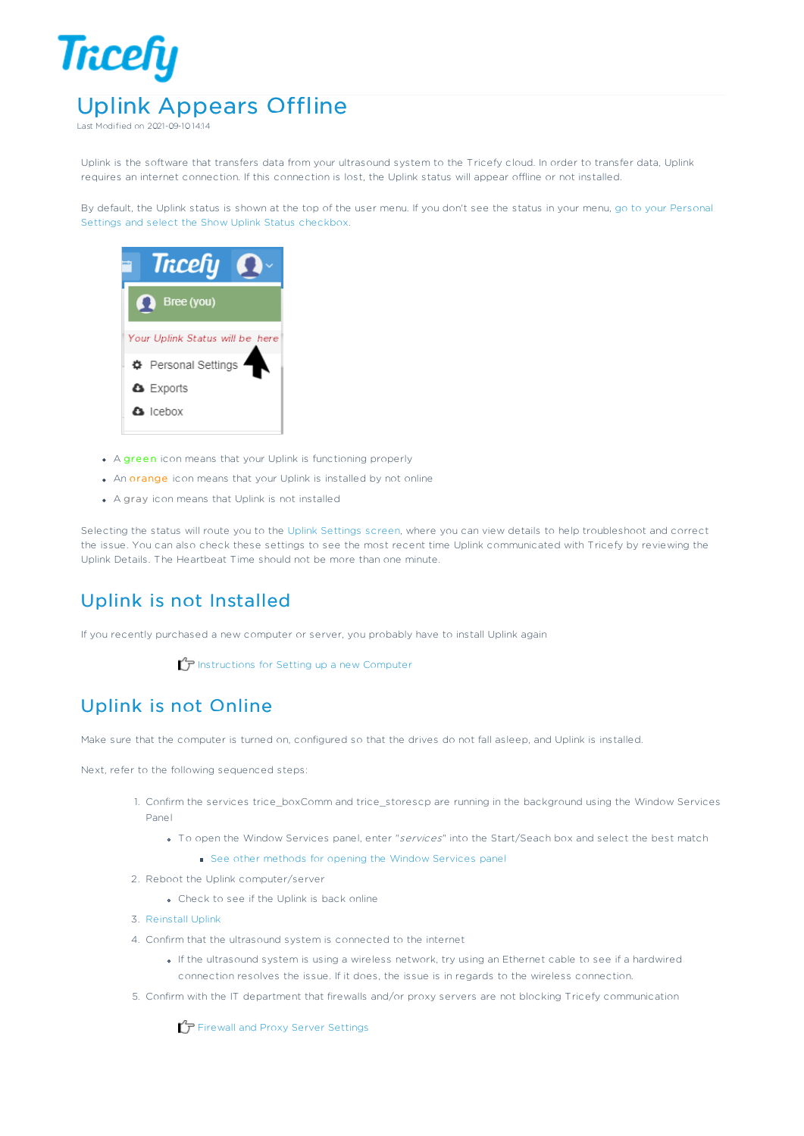## **Tricefy** Uplink Appears Offline

Last Modified on 2021-09-10 14:14

Uplink is the software that transfers data from your ultrasound system to the Tricefy cloud. In order to transfer data, Uplink requires an internet connection. If this connection is lost, the Uplink status will appear offline or not installed.

By default, the Uplink status is shown at the top of the user menu. If you don't see the status in your menu, go to your Personal Settings and select the Show Uplink Status checkbox.



- A green icon means that your Uplink is functioning properly
- An orange icon means that your Uplink is installed by not online
- A gray icon means that Uplink is not installed

Selecting the status will route you to the Uplink Settings screen, where you can view details to help troubleshoot and correct the issue. You can also check these settings to see the most recent time Uplink communicated with Tricefy by reviewing the Uplink Details. The Heartbeat Time should not be more than one minute.

## Uplink is not Installed

If you recently purchased a new computer or server, you probably have to install Uplink again

Instructions for Setting up a new Computer

## Uplink is not Online

Make sure that the computer is turned on, configured so that the drives do not fall asleep, and Uplink is installed.

Next, refer to the following sequenced steps:

- 1. Confirm the services trice\_boxComm and trice\_storescp are running in the background using the Window Services Panel
	- To open the Window Services panel, enter "services" into the Start/Seach box and select the best match
		- See other methods for opening the Window Services panel
- 2. Reboot the Uplink computer/server
	- Check to see if the Uplink is back online
- 3. Reinstall Uplink
- 4. Confirm that the ultrasound system is connected to the internet
	- If the ultrasound system is using a wireless network, try using an Ethernet cable to see if a hardwired connection resolves the issue. If it does, the issue is in regards to the wireless connection.
- 5. Confirm with the IT department that firewalls and/or proxy servers are not blocking Tricefy communication

 $\mathcal F$  Firewall and Proxy Server Settings